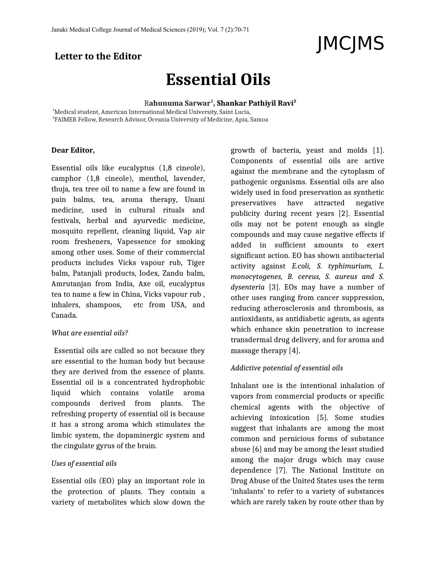# **Letter to the Editor**

# **Essential Oils**

R**ahunuma Sarwar<sup>1</sup> , Shankar Pathiyil Ravi<sup>2</sup>**

<sup>1</sup>Medical student, American International Medical University, Saint Lucia,  $^{\rm 2}$ FAIMER Fellow, Research Advisor, Oceania University of Medicine, Apia, Samoa

#### **Dear Editor,**

Essential oils like eucalyptus (1,8 cineole), camphor (1,8 cineole), menthol, lavender, thuja, tea tree oil to name a few are found in pain balms, tea, aroma therapy, Unani medicine, used in cultural rituals and festivals, herbal and ayurvedic medicine, mosquito repellent, cleaning liquid, Vap air room fresheners, Vapessence for smoking among other uses. Some of their commercial products includes Vicks vapour rub, Tiger balm, Patanjali products, Iodex, Zandu balm, Amrutanjan from India, Axe oil, eucalyptus tea to name a few in China, Vicks vapour rub , inhalers, shampoos, etc from USA, and Canada.

### *What are essential oils?*

Essential oils are called so not because they are essential to the human body but because they are derived from the essence of plants. Essential oil is a concentrated hydrophobic liquid which contains volatile aroma compounds derived from plants. The refreshing property of essential oil is because it has a strong aroma which stimulates the limbic system, the dopaminergic system and the cingulate gyrus of the brain.

#### *Uses of essential oils*

Essential oils (EO) play an important role in the protection of plants. They contain a variety of metabolites which slow down the

growth of bacteria, yeast and molds [1]. Components of essential oils are active against the membrane and the cytoplasm of pathogenic organisms. Essential oils are also widely used in food preservation as synthetic preservatives have attracted negative publicity during recent years [2]. Essential oils may not be potent enough as single compounds and may cause negative effects if added in sufficient amounts to exert significant action. EO has shown antibacterial activity against *E.coli, S. typhimurium, L. monocytogenes, B. cereus, S. aureus and S. dysenteria* [3]. EOs may have a number of other uses ranging from cancer suppression, reducing atherosclerosis and thrombosis, as antioxidants, as antidiabetic agents, as agents which enhance skin penetration to increase transdermal drug delivery, and for aroma and massage therapy [4].

JMCJMS

# *Addictive potential of essential oils*

Inhalant use is the intentional inhalation of vapors from commercial products or specific chemical agents with the objective of achieving intoxication [5]. Some studies suggest that inhalants are among the most common and pernicious forms of substance abuse [6] and may be among the least studied among the major drugs which may cause dependence [7]. The National Institute on Drug Abuse of the United States uses the term 'inhalants' to refer to a variety of substances which are rarely taken by route other than by